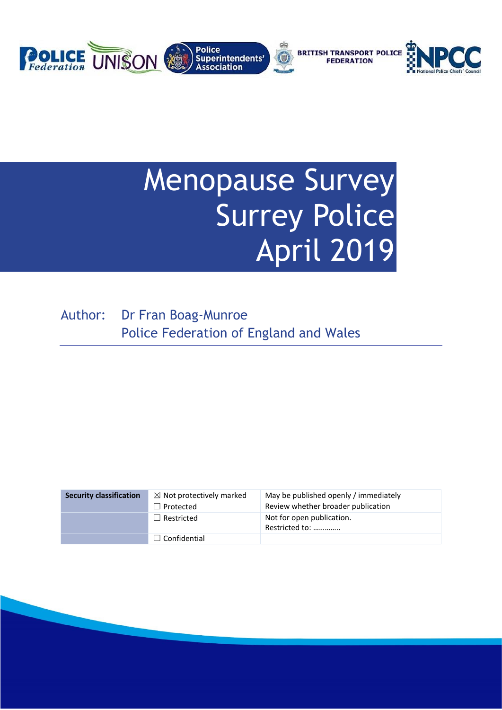

# Menopause Survey Surrey Police April 2019

Author: Dr Fran Boag-Munroe Police Federation of England and Wales

| <b>Security classification</b> | $\boxtimes$ Not protectively marked | May be published openly / immediately       |
|--------------------------------|-------------------------------------|---------------------------------------------|
|                                | $\Box$ Protected                    | Review whether broader publication          |
|                                | $\Box$ Restricted                   | Not for open publication.<br>Restricted to: |
|                                | $\Box$ Confidential                 |                                             |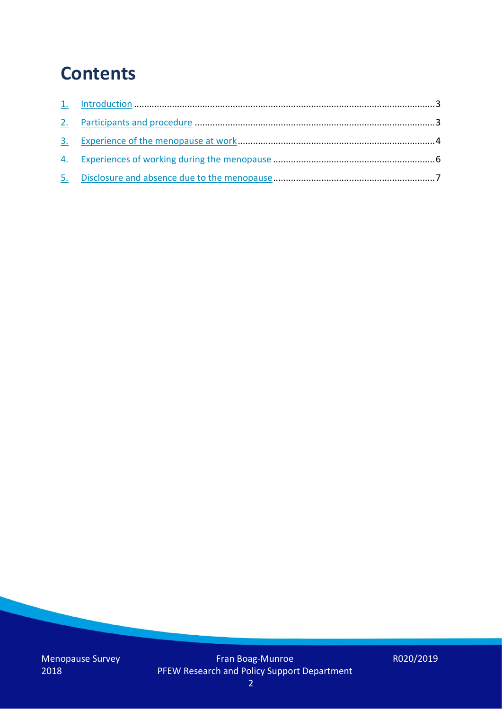## **Contents**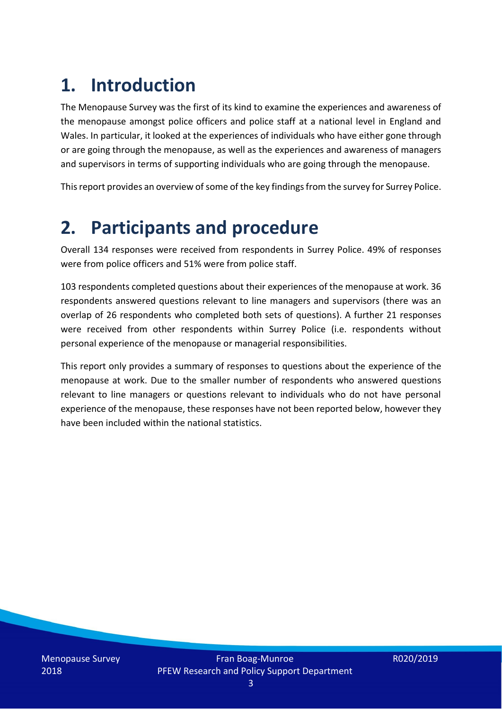# **1. Introduction**

The Menopause Survey was the first of its kind to examine the experiences and awareness of the menopause amongst police officers and police staff at a national level in England and Wales. In particular, it looked at the experiences of individuals who have either gone through or are going through the menopause, as well as the experiences and awareness of managers and supervisors in terms of supporting individuals who are going through the menopause.

This report provides an overview of some of the key findings from the survey for Surrey Police.

### **2. Participants and procedure**

Overall 134 responses were received from respondents in Surrey Police. 49% of responses were from police officers and 51% were from police staff.

103 respondents completed questions about their experiences of the menopause at work. 36 respondents answered questions relevant to line managers and supervisors (there was an overlap of 26 respondents who completed both sets of questions). A further 21 responses were received from other respondents within Surrey Police (i.e. respondents without personal experience of the menopause or managerial responsibilities.

This report only provides a summary of responses to questions about the experience of the menopause at work. Due to the smaller number of respondents who answered questions relevant to line managers or questions relevant to individuals who do not have personal experience of the menopause, these responses have not been reported below, however they have been included within the national statistics.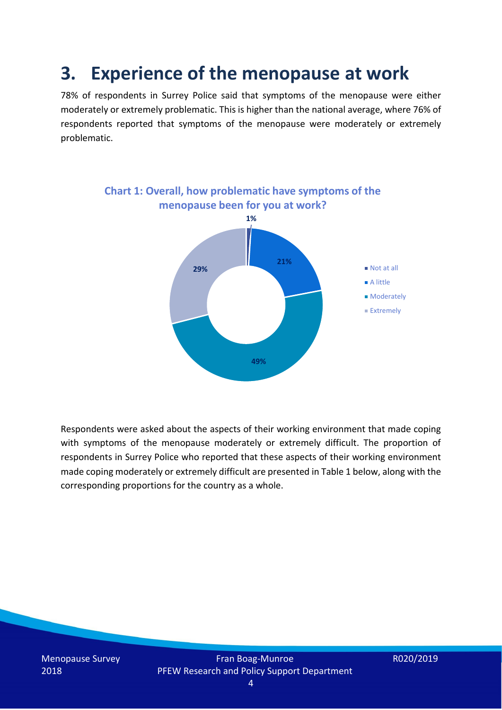### **3. Experience of the menopause at work**

78% of respondents in Surrey Police said that symptoms of the menopause were either moderately or extremely problematic. This is higher than the national average, where 76% of respondents reported that symptoms of the menopause were moderately or extremely problematic.



Respondents were asked about the aspects of their working environment that made coping with symptoms of the menopause moderately or extremely difficult. The proportion of respondents in Surrey Police who reported that these aspects of their working environment made coping moderately or extremely difficult are presented in Table 1 below, along with the corresponding proportions for the country as a whole.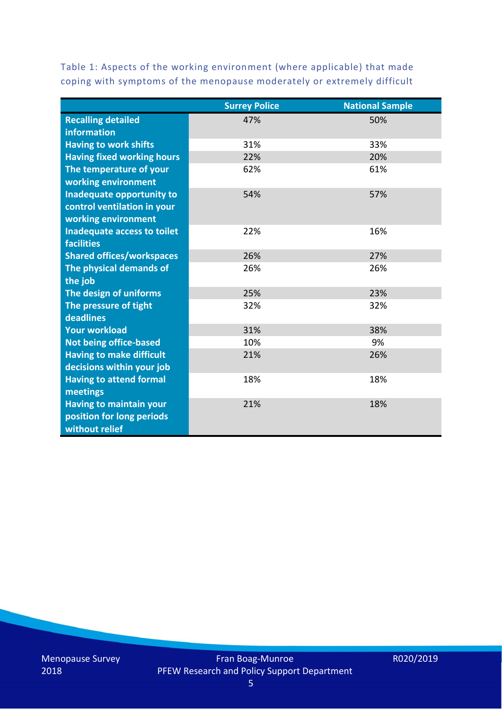Table 1: Aspects of the working environment (where applicable) that made coping with symptoms of the menopause moderately or extremely difficult

|                                   | <b>Surrey Police</b> | <b>National Sample</b> |
|-----------------------------------|----------------------|------------------------|
| <b>Recalling detailed</b>         | 47%                  | 50%                    |
| information                       |                      |                        |
| <b>Having to work shifts</b>      | 31%                  | 33%                    |
| <b>Having fixed working hours</b> | 22%                  | 20%                    |
| The temperature of your           | 62%                  | 61%                    |
| working environment               |                      |                        |
| Inadequate opportunity to         | 54%                  | 57%                    |
| control ventilation in your       |                      |                        |
| working environment               |                      |                        |
| Inadequate access to toilet       | 22%                  | 16%                    |
| <b>facilities</b>                 |                      |                        |
| <b>Shared offices/workspaces</b>  | 26%                  | 27%                    |
| The physical demands of           | 26%                  | 26%                    |
| the job                           |                      |                        |
| The design of uniforms            | 25%                  | 23%                    |
| The pressure of tight             | 32%                  | 32%                    |
| deadlines                         |                      |                        |
| <b>Your workload</b>              | 31%                  | 38%                    |
| <b>Not being office-based</b>     | 10%                  | 9%                     |
| <b>Having to make difficult</b>   | 21%                  | 26%                    |
| decisions within your job         |                      |                        |
| <b>Having to attend formal</b>    | 18%                  | 18%                    |
| meetings                          |                      |                        |
| <b>Having to maintain your</b>    | 21%                  | 18%                    |
| position for long periods         |                      |                        |
| without relief                    |                      |                        |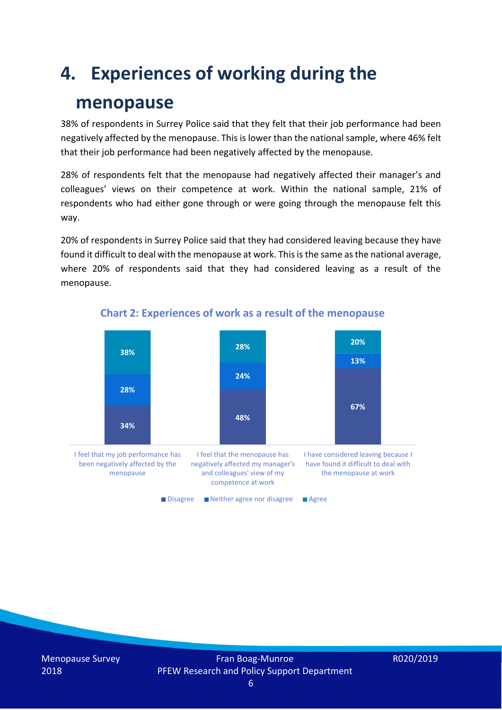### **4. Experiences of working during the**

### **menopause**

38% of respondents in Surrey Police said that they felt that their job performance had been negatively affected by the menopause. This is lower than the national sample, where 46% felt that their job performance had been negatively affected by the menopause.

28% of respondents felt that the menopause had negatively affected their manager's and colleagues' views on their competence at work. Within the national sample, 21% of respondents who had either gone through or were going through the menopause felt this way.

20% of respondents in Surrey Police said that they had considered leaving because they have found it difficult to deal with the menopause at work. This is the same asthe national average, where 20% of respondents said that they had considered leaving as a result of the menopause.



#### **Chart 2: Experiences of work as a result of the menopause**